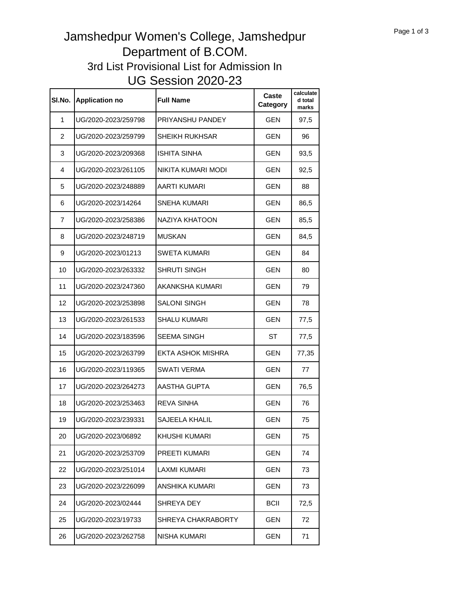## Jamshedpur Women's College, Jamshedpur Department of B.COM. 3rd List Provisional List for Admission In UG Session 2020-23

| SI.No.         | <b>Application no</b> | <b>Full Name</b>      | Caste<br>Category | calculate<br>d total<br>marks |
|----------------|-----------------------|-----------------------|-------------------|-------------------------------|
| $\mathbf{1}$   | UG/2020-2023/259798   | PRIYANSHU PANDEY      | GEN               | 97,5                          |
| $\overline{2}$ | UG/2020-2023/259799   | <b>SHEIKH RUKHSAR</b> | <b>GEN</b>        | 96                            |
| 3              | UG/2020-2023/209368   | <b>ISHITA SINHA</b>   | <b>GEN</b>        | 93,5                          |
| 4              | UG/2020-2023/261105   | NIKITA KUMARI MODI    | <b>GEN</b>        | 92,5                          |
| 5              | UG/2020-2023/248889   | <b>AARTI KUMARI</b>   | <b>GEN</b>        | 88                            |
| 6              | UG/2020-2023/14264    | SNEHA KUMARI          | <b>GEN</b>        | 86,5                          |
| 7              | UG/2020-2023/258386   | <b>NAZIYA KHATOON</b> | <b>GEN</b>        | 85,5                          |
| 8              | UG/2020-2023/248719   | <b>MUSKAN</b>         | GEN               | 84,5                          |
| 9              | UG/2020-2023/01213    | <b>SWETA KUMARI</b>   | <b>GEN</b>        | 84                            |
| 10             | UG/2020-2023/263332   | <b>SHRUTI SINGH</b>   | <b>GEN</b>        | 80                            |
| 11             | UG/2020-2023/247360   | AKANKSHA KUMARI       | <b>GEN</b>        | 79                            |
| 12             | UG/2020-2023/253898   | <b>SALONI SINGH</b>   | <b>GEN</b>        | 78                            |
| 13             | UG/2020-2023/261533   | <b>SHALU KUMARI</b>   | <b>GEN</b>        | 77,5                          |
| 14             | UG/2020-2023/183596   | <b>SEEMA SINGH</b>    | SТ                | 77,5                          |
| 15             | UG/2020-2023/263799   | EKTA ASHOK MISHRA     | GEN               | 77,35                         |
| 16             | UG/2020-2023/119365   | SWATI VERMA           | GEN               | 77                            |
| 17             | UG/2020-2023/264273   | AASTHA GUPTA          | <b>GEN</b>        | 76,5                          |
| 18             | UG/2020-2023/253463   | <b>REVA SINHA</b>     | <b>GEN</b>        | 76                            |
| 19             | UG/2020-2023/239331   | SAJEELA KHALIL        | GEN               | 75                            |
| 20             | UG/2020-2023/06892    | KHUSHI KUMARI         | <b>GEN</b>        | 75                            |
| 21             | UG/2020-2023/253709   | PREETI KUMARI         | <b>GEN</b>        | 74                            |
| 22             | UG/2020-2023/251014   | <b>LAXMI KUMARI</b>   | <b>GEN</b>        | 73                            |
| 23             | UG/2020-2023/226099   | ANSHIKA KUMARI        | <b>GEN</b>        | 73                            |
| 24             | UG/2020-2023/02444    | SHREYA DEY            | <b>BCII</b>       | 72,5                          |
| 25             | UG/2020-2023/19733    | SHREYA CHAKRABORTY    | <b>GEN</b>        | 72                            |
| 26             | UG/2020-2023/262758   | NISHA KUMARI          | GEN               | 71                            |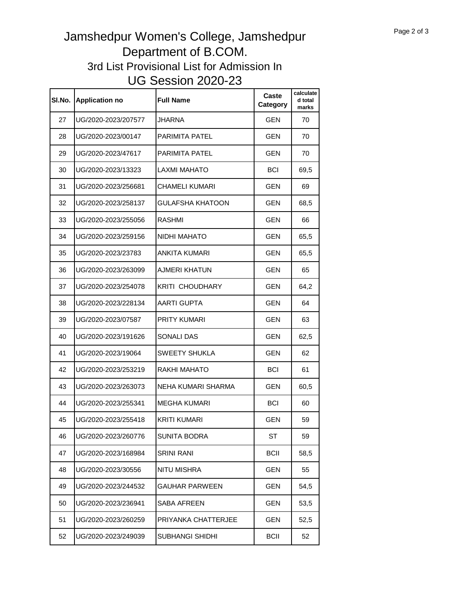## Jamshedpur Women's College, Jamshedpur Department of B.COM. 3rd List Provisional List for Admission In UG Session 2020-23

| SI.No. | <b>Application no</b> | <b>Full Name</b>        | Caste<br>Category | calculate<br>d total<br>marks |
|--------|-----------------------|-------------------------|-------------------|-------------------------------|
| 27     | UG/2020-2023/207577   | JHARNA                  | GEN               | 70                            |
| 28     | UG/2020-2023/00147    | PARIMITA PATEL          | <b>GEN</b>        | 70                            |
| 29     | UG/2020-2023/47617    | PARIMITA PATEL          | <b>GEN</b>        | 70                            |
| 30     | UG/2020-2023/13323    | LAXMI MAHATO            | <b>BCI</b>        | 69,5                          |
| 31     | UG/2020-2023/256681   | CHAMELI KUMARI          | <b>GEN</b>        | 69                            |
| 32     | UG/2020-2023/258137   | <b>GULAFSHA KHATOON</b> | <b>GEN</b>        | 68,5                          |
| 33     | UG/2020-2023/255056   | <b>RASHMI</b>           | GEN               | 66                            |
| 34     | UG/2020-2023/259156   | NIDHI MAHATO            | GEN               | 65,5                          |
| 35     | UG/2020-2023/23783    | <b>ANKITA KUMARI</b>    | GEN               | 65,5                          |
| 36     | UG/2020-2023/263099   | AJMERI KHATUN           | <b>GEN</b>        | 65                            |
| 37     | UG/2020-2023/254078   | <b>KRITI CHOUDHARY</b>  | <b>GEN</b>        | 64,2                          |
| 38     | UG/2020-2023/228134   | <b>AARTI GUPTA</b>      | <b>GEN</b>        | 64                            |
| 39     | UG/2020-2023/07587    | <b>PRITY KUMARI</b>     | <b>GEN</b>        | 63                            |
| 40     | UG/2020-2023/191626   | SONALI DAS              | <b>GEN</b>        | 62,5                          |
| 41     | UG/2020-2023/19064    | <b>SWEETY SHUKLA</b>    | GEN               | 62                            |
| 42     | UG/2020-2023/253219   | RAKHI MAHATO            | BCI               | 61                            |
| 43     | UG/2020-2023/263073   | NEHA KUMARI SHARMA      | GEN               | 60,5                          |
| 44     | UG/2020-2023/255341   | <b>MEGHA KUMARI</b>     | <b>BCI</b>        | 60                            |
| 45     | UG/2020-2023/255418   | KRITI KUMARI            | <b>GEN</b>        | 59                            |
| 46     | UG/2020-2023/260776   | SUNITA BODRA            | ST                | 59                            |
| 47     | UG/2020-2023/168984   | SRINI RANI              | <b>BCII</b>       | 58,5                          |
| 48     | UG/2020-2023/30556    | NITU MISHRA             | <b>GEN</b>        | 55                            |
| 49     | UG/2020-2023/244532   | GAUHAR PARWEEN          | <b>GEN</b>        | 54,5                          |
| 50     | UG/2020-2023/236941   | SABA AFREEN             | GEN               | 53,5                          |
| 51     | UG/2020-2023/260259   | PRIYANKA CHATTERJEE     | GEN               | 52,5                          |
| 52     | UG/2020-2023/249039   | SUBHANGI SHIDHI         | <b>BCII</b>       | 52                            |